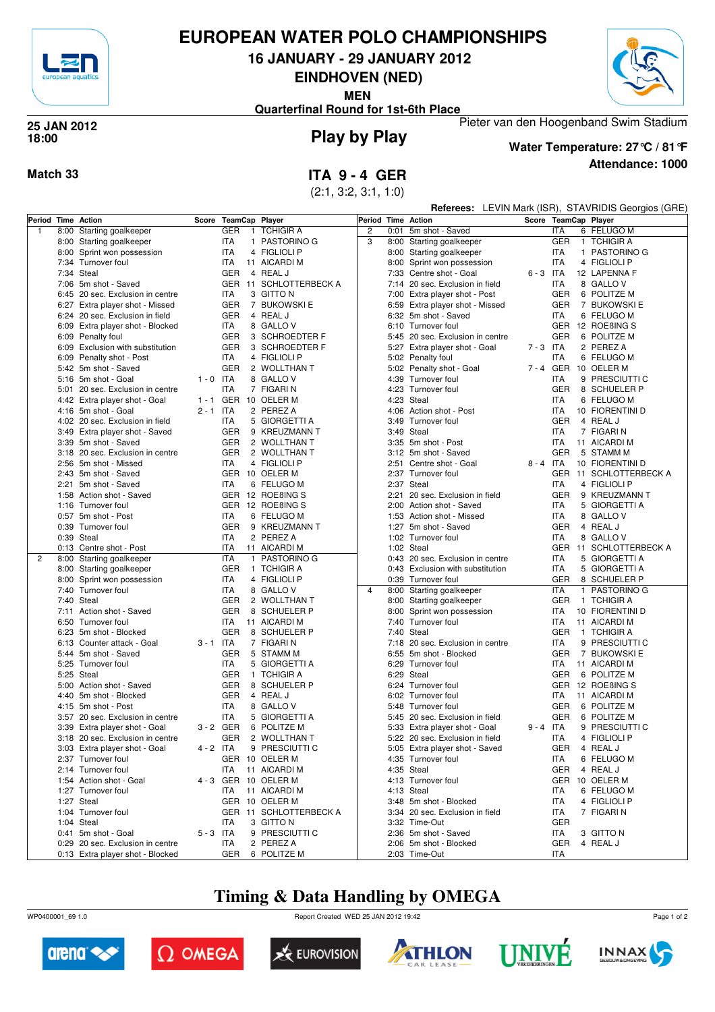

### **EUROPEAN WATER POLO CHAMPIONSHIPS**

**16 JANUARY - 29 JANUARY 2012**

**EINDHOVEN (NED)**

**MEN**

Pieter van den Hoogenband Swim Stadium **Quarterfinal Round for 1st-6th Place**



#### **Play by Play 25 JAN 2012 18:00**



**Attendance: 1000 Water Temperature: 27°C / 81°F**

**Match 33 ITA 9 - 4 GER**

(2:1, 3:2, 3:1, 1:0)

|                    |      |                                                          |             |                          |  |                                      |                    | <b>Referees:</b> LEVIN Mark (ISR), STAVRIDIS Georgios (GRE) |                                                 |             |                          |  |                           |
|--------------------|------|----------------------------------------------------------|-------------|--------------------------|--|--------------------------------------|--------------------|-------------------------------------------------------------|-------------------------------------------------|-------------|--------------------------|--|---------------------------|
| Period Time Action |      |                                                          | Score       | <b>TeamCap Player</b>    |  |                                      | Period Time Action |                                                             |                                                 |             |                          |  | Score TeamCap Player      |
| $\overline{1}$     | 8:00 | Starting goalkeeper                                      |             | <b>GER</b>               |  | 1 TCHIGIR A                          | $\overline{2}$     | 0:01                                                        | 5m shot - Saved                                 |             | <b>ITA</b>               |  | 6 FELUGO M                |
|                    | 8:00 | Starting goalkeeper                                      |             | <b>ITA</b>               |  | 1 PASTORINO G                        | 3                  |                                                             | 8:00 Starting goalkeeper                        |             | <b>GER</b>               |  | 1 TCHIGIR A               |
|                    |      | 8:00 Sprint won possession                               |             | <b>ITA</b>               |  | 4 FIGLIOLI P                         |                    |                                                             | 8:00 Starting goalkeeper                        |             | ITA                      |  | 1 PASTORINO G             |
|                    |      | 7:34 Turnover foul                                       |             | <b>ITA</b>               |  | 11 AICARDI M                         |                    |                                                             | 8:00 Sprint won possession                      |             | <b>ITA</b>               |  | 4 FIGLIOLI P              |
|                    |      | 7:34 Steal                                               |             | <b>GER</b>               |  | 4 REAL J                             |                    |                                                             | 7:33 Centre shot - Goal                         | $6 - 3$ ITA |                          |  | 12 LAPENNA F              |
|                    |      | 7:06 5m shot - Saved                                     |             |                          |  | GER 11 SCHLOTTERBECK A               |                    |                                                             | 7:14 20 sec. Exclusion in field                 |             | ITA                      |  | 8 GALLO V                 |
|                    |      | 6:45 20 sec. Exclusion in centre                         |             | <b>ITA</b>               |  | 3 GITTO N                            |                    |                                                             | 7:00 Extra player shot - Post                   |             | <b>GER</b>               |  | 6 POLITZE M               |
|                    |      | 6:27 Extra player shot - Missed                          |             | <b>GER</b>               |  | 7 BUKOWSKI E                         |                    |                                                             | 6:59 Extra player shot - Missed                 |             | <b>GER</b>               |  | 7 BUKOWSKI E              |
|                    |      | 6:24 20 sec. Exclusion in field                          |             | <b>GER</b>               |  | 4 REAL J                             |                    |                                                             | 6:32 5m shot - Saved                            |             | <b>ITA</b>               |  | 6 FELUGO M                |
|                    |      | 6:09 Extra player shot - Blocked                         |             | <b>ITA</b>               |  | 8 GALLO V                            |                    |                                                             | 6:10 Turnover foul                              |             |                          |  | GER 12 ROEBING S          |
|                    |      | 6:09 Penalty foul                                        |             | <b>GER</b>               |  | 3 SCHROEDTER F                       |                    |                                                             | 5:45 20 sec. Exclusion in centre                |             | GER                      |  | 6 POLITZE M               |
|                    |      | 6:09 Exclusion with substitution                         |             | <b>GER</b>               |  | 3 SCHROEDTER F                       |                    |                                                             | 5:27 Extra player shot - Goal                   | $7 - 3$ ITA |                          |  | 2 PEREZ A                 |
|                    | 6:09 | Penalty shot - Post                                      |             | <b>ITA</b>               |  | 4 FIGLIOLI P                         |                    |                                                             | 5:02 Penalty foul                               |             | <b>ITA</b>               |  | 6 FELUGO M                |
|                    |      | 5:42 5m shot - Saved                                     |             | <b>GER</b>               |  | 2 WOLLTHAN T                         |                    |                                                             | 5:02 Penalty shot - Goal                        |             |                          |  | 7 - 4 GER 10 OELER M      |
|                    |      | 5:16 5m shot - Goal                                      | $1 - 0$ ITA |                          |  | 8 GALLO V                            |                    |                                                             | 4:39 Turnover foul                              |             | <b>ITA</b>               |  | 9 PRESCIUTTI C            |
|                    | 5:01 | 20 sec. Exclusion in centre                              |             | <b>ITA</b>               |  | 7 FIGARIN                            |                    |                                                             | 4:23 Turnover foul                              |             | <b>GER</b>               |  | 8 SCHUELER P              |
|                    |      | 4:42 Extra player shot - Goal                            |             |                          |  | 1 - 1 GER 10 OELER M                 |                    |                                                             | 4:23 Steal                                      |             | <b>ITA</b>               |  | 6 FELUGO M                |
|                    |      | 4:16 5m shot - Goal                                      | $2 - 1$ ITA |                          |  | 2 PEREZ A                            |                    |                                                             | 4:06 Action shot - Post                         |             | ITA                      |  | 10 FIORENTINI D           |
|                    |      | 4:02 20 sec. Exclusion in field                          |             | <b>ITA</b>               |  | 5 GIORGETTI A                        |                    |                                                             | 3:49 Turnover foul                              |             | GER                      |  | 4 REAL J                  |
|                    |      | 3:49 Extra player shot - Saved                           |             | <b>GER</b><br><b>GER</b> |  | 9 KREUZMANN T<br>2 WOLLTHAN T        |                    |                                                             | 3:49 Steal                                      |             | <b>ITA</b><br><b>ITA</b> |  | 7 FIGARI N                |
|                    |      | 3:39 5m shot - Saved<br>3:18 20 sec. Exclusion in centre |             | <b>GER</b>               |  | 2 WOLLTHAN T                         |                    |                                                             | 3:35 5m shot - Post                             |             | <b>GER</b>               |  | 11 AICARDI M<br>5 STAMM M |
|                    |      | 2:56 5m shot - Missed                                    |             | <b>ITA</b>               |  | 4 FIGLIOLI P                         |                    |                                                             | 3:12 5m shot - Saved<br>2:51 Centre shot - Goal | $8 - 4$ ITA |                          |  | 10 FIORENTINI D           |
|                    |      | 2:43 5m shot - Saved                                     |             |                          |  | GER 10 OELER M                       |                    |                                                             | 2:37 Turnover foul                              |             |                          |  | GER 11 SCHLOTTERBECK A    |
|                    |      | 2:21 5m shot - Saved                                     |             | <b>ITA</b>               |  | 6 FELUGO M                           |                    |                                                             | 2:37 Steal                                      |             | ITA                      |  | 4 FIGLIOLI P              |
|                    |      | 1:58 Action shot - Saved                                 |             |                          |  | GER 12 ROEBING S                     |                    |                                                             | 2:21 20 sec. Exclusion in field                 |             | <b>GER</b>               |  | 9 KREUZMANN T             |
|                    |      | 1:16 Turnover foul                                       |             |                          |  | GER 12 ROEBING S                     |                    |                                                             | 2:00 Action shot - Saved                        |             | <b>ITA</b>               |  | 5 GIORGETTI A             |
|                    |      | 0:57 5m shot - Post                                      |             | <b>ITA</b>               |  | 6 FELUGO M                           |                    |                                                             | 1:53 Action shot - Missed                       |             | <b>ITA</b>               |  | 8 GALLO V                 |
|                    |      | 0:39 Turnover foul                                       |             | <b>GER</b>               |  | 9 KREUZMANN T                        |                    |                                                             | 1:27 5m shot - Saved                            |             | GER                      |  | 4 REAL J                  |
|                    |      | 0:39 Steal                                               |             | <b>ITA</b>               |  | 2 PEREZ A                            |                    |                                                             | 1:02 Turnover foul                              |             | <b>ITA</b>               |  | 8 GALLO V                 |
|                    |      | 0:13 Centre shot - Post                                  |             | <b>ITA</b>               |  | 11 AICARDI M                         |                    |                                                             | 1:02 Steal                                      |             |                          |  | GER 11 SCHLOTTERBECK A    |
| 2                  |      | 8:00 Starting goalkeeper                                 |             | <b>ITA</b>               |  | 1 PASTORINO G                        |                    |                                                             | 0:43 20 sec. Exclusion in centre                |             | ITA                      |  | 5 GIORGETTI A             |
|                    |      | 8:00 Starting goalkeeper                                 |             | <b>GER</b>               |  | 1 TCHIGIR A                          |                    |                                                             | 0:43 Exclusion with substitution                |             | ITA                      |  | 5 GIORGETTI A             |
|                    |      | 8:00 Sprint won possession                               |             | <b>ITA</b>               |  | 4 FIGLIOLI P                         |                    |                                                             | 0:39 Turnover foul                              |             | GER                      |  | 8 SCHUELER P              |
|                    |      | 7:40 Turnover foul                                       |             | <b>ITA</b>               |  | 8 GALLO V                            | 4                  |                                                             | 8:00 Starting goalkeeper                        |             | ITA                      |  | 1 PASTORINO G             |
|                    |      | 7:40 Steal                                               |             | <b>GER</b>               |  | 2 WOLLTHAN T                         |                    |                                                             | 8:00 Starting goalkeeper                        |             | <b>GER</b>               |  | 1 TCHIGIR A               |
|                    | 7:11 | Action shot - Saved                                      |             | <b>GER</b>               |  | 8 SCHUELER P                         |                    |                                                             | 8:00 Sprint won possession                      |             | ITA                      |  | 10 FIORENTINI D           |
|                    |      | 6:50 Turnover foul                                       |             | <b>ITA</b>               |  | 11 AICARDI M                         |                    |                                                             | 7:40 Turnover foul                              |             | ITA                      |  | 11 AICARDI M              |
|                    |      | 6:23 5m shot - Blocked                                   |             | <b>GER</b>               |  | 8 SCHUELER P                         |                    |                                                             | 7:40 Steal                                      |             | <b>GER</b>               |  | 1 TCHIGIR A               |
|                    |      | 6:13 Counter attack - Goal                               | $3 - 1$ ITA |                          |  | 7 FIGARI N                           |                    |                                                             | 7:18 20 sec. Exclusion in centre                |             | ITA                      |  | 9 PRESCIUTTI C            |
|                    |      | 5:44 5m shot - Saved                                     |             | <b>GER</b>               |  | 5 STAMM M                            |                    |                                                             | 6:55 5m shot - Blocked                          |             | <b>GER</b>               |  | 7 BUKOWSKI E              |
|                    |      | 5:25 Turnover foul                                       |             | ITA                      |  | 5 GIORGETTI A                        |                    |                                                             | 6:29 Turnover foul                              |             | <b>ITA</b>               |  | 11 AICARDI M              |
|                    |      | 5:25 Steal                                               |             | <b>GER</b>               |  | 1 TCHIGIR A                          |                    |                                                             | 6:29 Steal                                      |             | <b>GER</b>               |  | 6 POLITZE M               |
|                    |      | 5:00 Action shot - Saved                                 |             | <b>GER</b>               |  | 8 SCHUELER P                         |                    |                                                             | 6:24 Turnover foul                              |             |                          |  | GER 12 ROEBING S          |
|                    | 4:40 | 5m shot - Blocked                                        |             | <b>GER</b>               |  | 4 REAL J                             |                    |                                                             | 6:02 Turnover foul                              |             | ITA                      |  | 11 AICARDI M              |
|                    |      | 4:15 5m shot - Post                                      |             | <b>ITA</b>               |  | 8 GALLO V                            |                    |                                                             | 5:48 Turnover foul                              |             | GER                      |  | 6 POLITZE M               |
|                    |      | 3:57 20 sec. Exclusion in centre                         |             | <b>ITA</b>               |  | 5 GIORGETTI A                        |                    |                                                             | 5:45 20 sec. Exclusion in field                 |             | <b>GER</b>               |  | 6 POLITZE M               |
|                    |      | 3:39 Extra player shot - Goal                            | 3-2 GER     |                          |  | 6 POLITZE M                          |                    |                                                             | 5:33 Extra player shot - Goal                   | 9-4 ITA     |                          |  | 9 PRESCIUTTI C            |
|                    |      | 3:18 20 sec. Exclusion in centre                         |             |                          |  | GER 2 WOLLTHAN T                     |                    |                                                             | 5:22 20 sec. Exclusion in field                 |             | ITA                      |  | 4 FIGLIOLI P              |
|                    |      | 3:03 Extra player shot - Goal                            | $4 - 2$ ITA |                          |  | 9 PRESCIUTTI C                       |                    |                                                             | 5:05 Extra player shot - Saved                  |             |                          |  | GER 4 REAL J              |
|                    |      | 2:37 Turnover foul<br>2:14 Turnover foul                 |             |                          |  | GER 10 OELER M                       |                    |                                                             | 4:35 Turnover foul                              |             | ITA                      |  | 6 FELUGO M<br>4 REAL J    |
|                    |      | 1:54 Action shot - Goal                                  |             | ITA                      |  | 11 AICARDI M<br>4 - 3 GER 10 OELER M |                    |                                                             | 4:35 Steal<br>4:13 Turnover foul                |             | GER                      |  | GER 10 OELER M            |
|                    |      | 1:27 Turnover foul                                       |             | ITA                      |  | 11 AICARDI M                         |                    |                                                             | 4:13 Steal                                      |             | ITA                      |  | 6 FELUGO M                |
|                    |      | 1:27 Steal                                               |             |                          |  | GER 10 OELER M                       |                    |                                                             | 3:48 5m shot - Blocked                          |             | ITA                      |  | 4 FIGLIOLI P              |
|                    |      | 1:04 Turnover foul                                       |             |                          |  | GER 11 SCHLOTTERBECK A               |                    |                                                             | 3:34 20 sec. Exclusion in field                 |             | ITA                      |  | 7 FIGARI N                |
|                    |      | 1:04 Steal                                               |             | <b>ITA</b>               |  | 3 GITTO N                            |                    |                                                             | 3:32 Time-Out                                   |             | GER                      |  |                           |
|                    |      | 0:41 5m shot - Goal                                      | $5 - 3$ ITA |                          |  | 9 PRESCIUTTI C                       |                    |                                                             | 2:36 5m shot - Saved                            |             | ITA                      |  | 3 GITTO N                 |
|                    |      | 0:29 20 sec. Exclusion in centre                         |             | ITA                      |  | 2 PEREZ A                            |                    |                                                             | 2:06 5m shot - Blocked                          |             | GER                      |  | 4 REAL J                  |
|                    |      | 0:13 Extra player shot - Blocked                         |             | GER                      |  | 6 POLITZE M                          |                    |                                                             | 2:03 Time-Out                                   |             | ITA                      |  |                           |

## **Timing & Data Handling by OMEGA**

WP0400001\_69 1.0 Report Created WED 25 JAN 2012 19:42